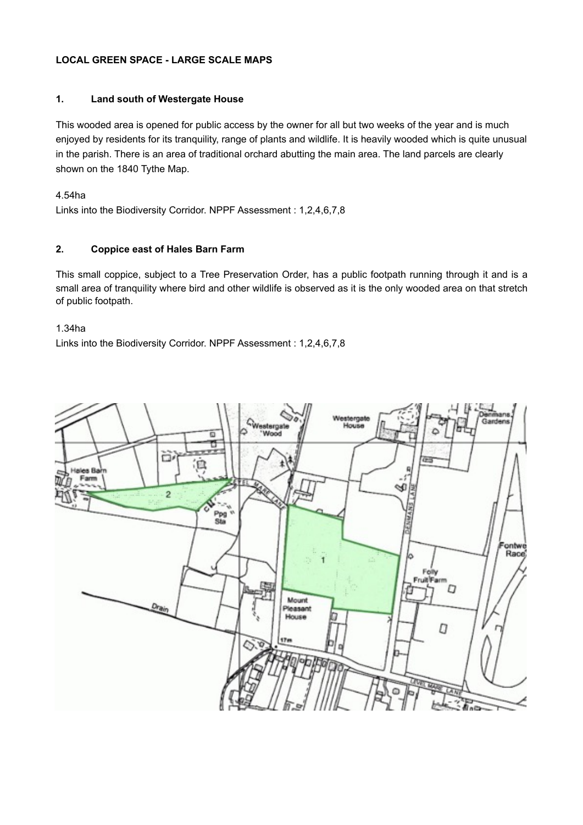# **LOCAL GREEN SPACE - LARGE SCALE MAPS**

## **1. Land south of Westergate House**

This wooded area is opened for public access by the owner for all but two weeks of the year and is much enjoyed by residents for its tranquility, range of plants and wildlife. It is heavily wooded which is quite unusual in the parish. There is an area of traditional orchard abutting the main area. The land parcels are clearly shown on the 1840 Tythe Map.

4.54ha

Links into the Biodiversity Corridor. NPPF Assessment : 1,2,4,6,7,8

## **2. Coppice east of Hales Barn Farm**

This small coppice, subject to a Tree Preservation Order, has a public footpath running through it and is a small area of tranquility where bird and other wildlife is observed as it is the only wooded area on that stretch of public footpath.

#### 1.34ha

Links into the Biodiversity Corridor. NPPF Assessment : 1,2,4,6,7,8

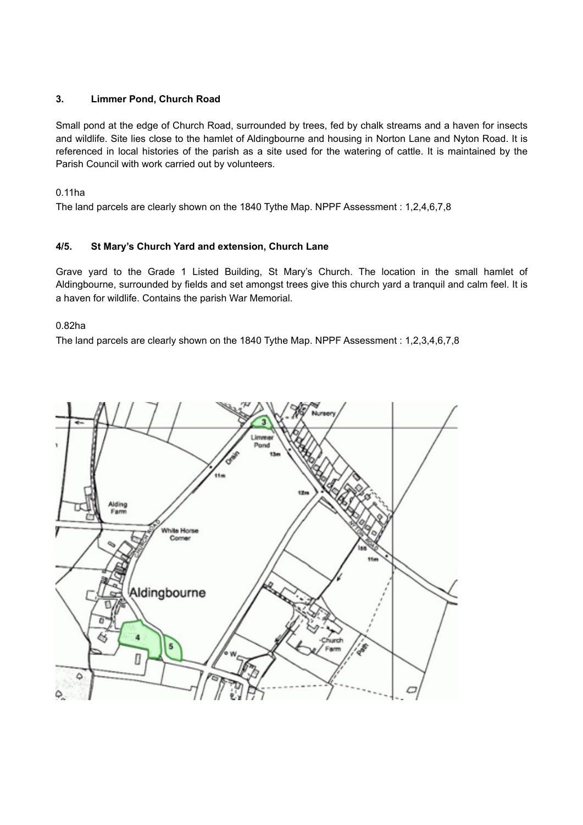## **3. Limmer Pond, Church Road**

Small pond at the edge of Church Road, surrounded by trees, fed by chalk streams and a haven for insects and wildlife. Site lies close to the hamlet of Aldingbourne and housing in Norton Lane and Nyton Road. It is referenced in local histories of the parish as a site used for the watering of cattle. It is maintained by the Parish Council with work carried out by volunteers.

0.11ha

The land parcels are clearly shown on the 1840 Tythe Map. NPPF Assessment : 1,2,4,6,7,8

# **4/5. St Mary's Church Yard and extension, Church Lane**

Grave yard to the Grade 1 Listed Building, St Mary's Church. The location in the small hamlet of Aldingbourne, surrounded by fields and set amongst trees give this church yard a tranquil and calm feel. It is a haven for wildlife. Contains the parish War Memorial.

0.82ha

The land parcels are clearly shown on the 1840 Tythe Map. NPPF Assessment : 1,2,3,4,6,7,8

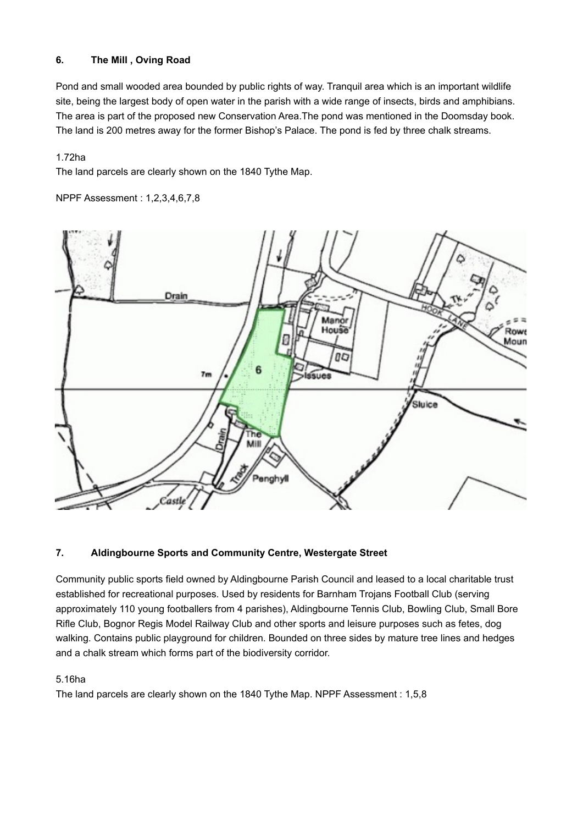# **6. The Mill , Oving Road**

Pond and small wooded area bounded by public rights of way. Tranquil area which is an important wildlife site, being the largest body of open water in the parish with a wide range of insects, birds and amphibians. The area is part of the proposed new Conservation Area.The pond was mentioned in the Doomsday book. The land is 200 metres away for the former Bishop's Palace. The pond is fed by three chalk streams.

## 1.72ha

The land parcels are clearly shown on the 1840 Tythe Map.

## NPPF Assessment : 1,2,3,4,6,7,8



# **7. Aldingbourne Sports and Community Centre, Westergate Street**

Community public sports field owned by Aldingbourne Parish Council and leased to a local charitable trust established for recreational purposes. Used by residents for Barnham Trojans Football Club (serving approximately 110 young footballers from 4 parishes), Aldingbourne Tennis Club, Bowling Club, Small Bore Rifle Club, Bognor Regis Model Railway Club and other sports and leisure purposes such as fetes, dog walking. Contains public playground for children. Bounded on three sides by mature tree lines and hedges and a chalk stream which forms part of the biodiversity corridor.

### 5.16ha

The land parcels are clearly shown on the 1840 Tythe Map. NPPF Assessment : 1,5,8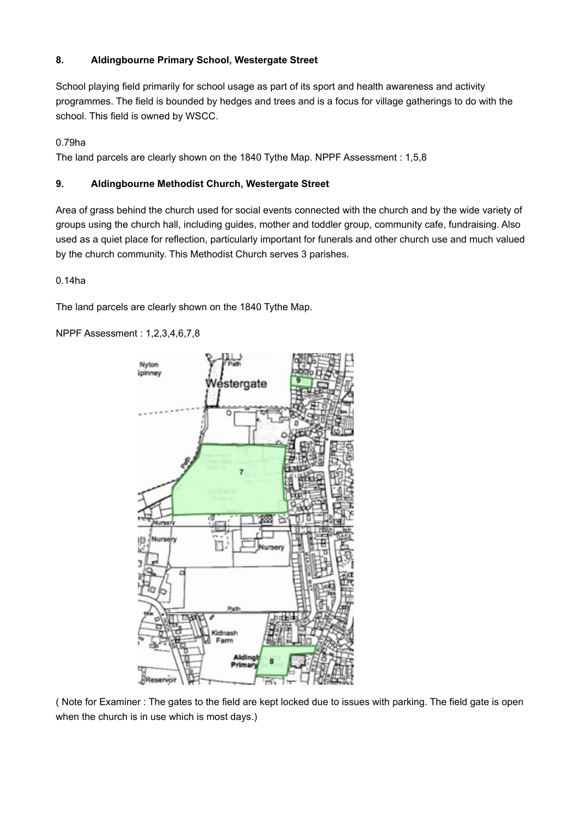# **8. Aldingbourne Primary School, Westergate Street**

School playing field primarily for school usage as part of its sport and health awareness and activity programmes. The field is bounded by hedges and trees and is a focus for village gatherings to do with the school. This field is owned by WSCC.

# 0.79ha

The land parcels are clearly shown on the 1840 Tythe Map. NPPF Assessment : 1,5,8

# **9. Aldingbourne Methodist Church, Westergate Street**

Area of grass behind the church used for social events connected with the church and by the wide variety of groups using the church hall, including guides, mother and toddler group, community cafe, fundraising. Also used as a quiet place for reflection, particularly important for funerals and other church use and much valued by the church community. This Methodist Church serves 3 parishes.

0.14ha

The land parcels are clearly shown on the 1840 Tythe Map.

NPPF Assessment : 1,2,3,4,6,7,8



( Note for Examiner : The gates to the field are kept locked due to issues with parking. The field gate is open when the church is in use which is most days.)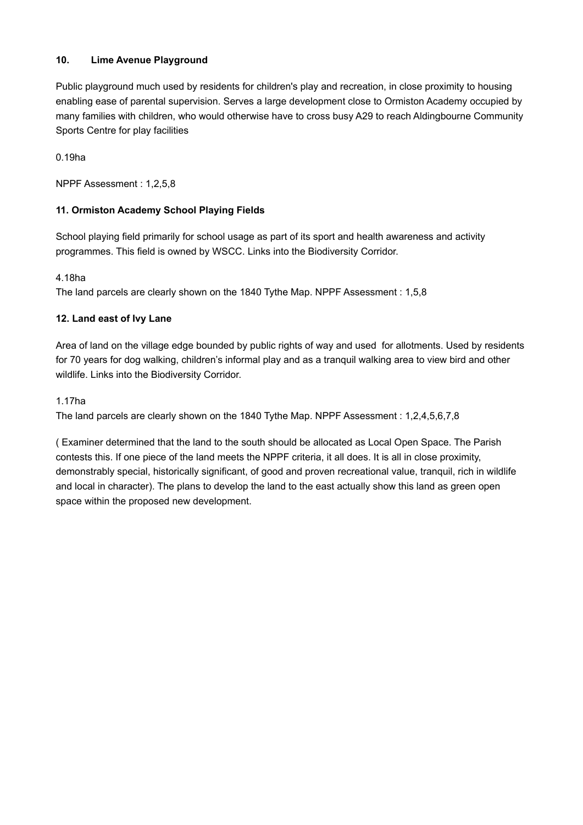# **10. Lime Avenue Playground**

Public playground much used by residents for children's play and recreation, in close proximity to housing enabling ease of parental supervision. Serves a large development close to Ormiston Academy occupied by many families with children, who would otherwise have to cross busy A29 to reach Aldingbourne Community Sports Centre for play facilities

0.19ha

NPPF Assessment : 1,2,5,8

## **11. Ormiston Academy School Playing Fields**

School playing field primarily for school usage as part of its sport and health awareness and activity programmes. This field is owned by WSCC. Links into the Biodiversity Corridor.

## 4.18ha

The land parcels are clearly shown on the 1840 Tythe Map. NPPF Assessment : 1,5,8

## **12. Land east of Ivy Lane**

Area of land on the village edge bounded by public rights of way and used for allotments. Used by residents for 70 years for dog walking, children's informal play and as a tranquil walking area to view bird and other wildlife. Links into the Biodiversity Corridor.

## 1.17ha

The land parcels are clearly shown on the 1840 Tythe Map. NPPF Assessment : 1,2,4,5,6,7,8

( Examiner determined that the land to the south should be allocated as Local Open Space. The Parish contests this. If one piece of the land meets the NPPF criteria, it all does. It is all in close proximity, demonstrably special, historically significant, of good and proven recreational value, tranquil, rich in wildlife and local in character). The plans to develop the land to the east actually show this land as green open space within the proposed new development.